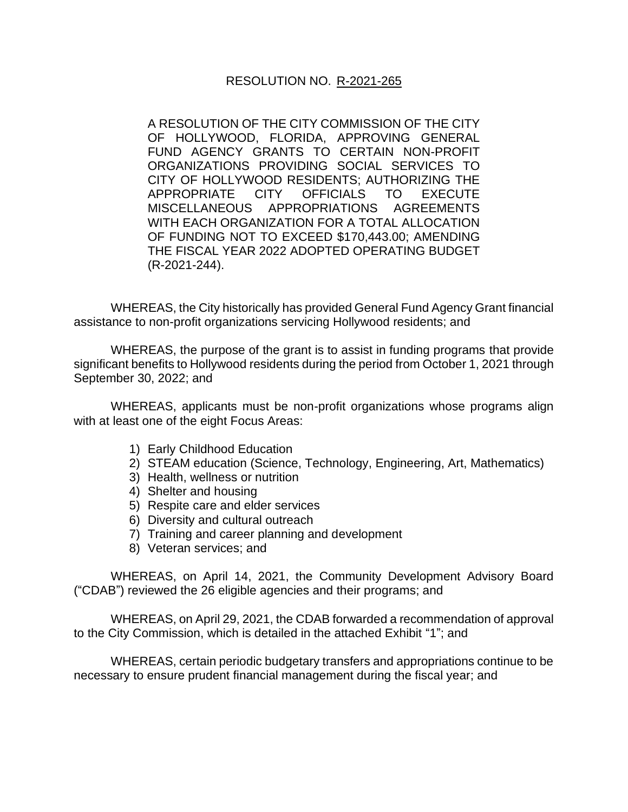A RESOLUTION OF THE CITY COMMISSION OF THE CITY OF HOLLYWOOD, FLORIDA, APPROVING GENERAL FUND AGENCY GRANTS TO CERTAIN NON-PROFIT ORGANIZATIONS PROVIDING SOCIAL SERVICES TO CITY OF HOLLYWOOD RESIDENTS; AUTHORIZING THE APPROPRIATE CITY OFFICIALS TO EXECUTE MISCELLANEOUS APPROPRIATIONS AGREEMENTS WITH EACH ORGANIZATION FOR A TOTAL ALLOCATION OF FUNDING NOT TO EXCEED \$170,443.00; AMENDING THE FISCAL YEAR 2022 ADOPTED OPERATING BUDGET (R-2021-244).

WHEREAS, the City historically has provided General Fund Agency Grant financial assistance to non-profit organizations servicing Hollywood residents; and

WHEREAS, the purpose of the grant is to assist in funding programs that provide significant benefits to Hollywood residents during the period from October 1, 2021 through September 30, 2022; and

WHEREAS, applicants must be non-profit organizations whose programs align with at least one of the eight Focus Areas:

- 1) Early Childhood Education
- 2) STEAM education (Science, Technology, Engineering, Art, Mathematics)
- 3) Health, wellness or nutrition
- 4) Shelter and housing
- 5) Respite care and elder services
- 6) Diversity and cultural outreach
- 7) Training and career planning and development
- 8) Veteran services; and

WHEREAS, on April 14, 2021, the Community Development Advisory Board ("CDAB") reviewed the 26 eligible agencies and their programs; and

WHEREAS, on April 29, 2021, the CDAB forwarded a recommendation of approval to the City Commission, which is detailed in the attached Exhibit "1"; and

WHEREAS, certain periodic budgetary transfers and appropriations continue to be necessary to ensure prudent financial management during the fiscal year; and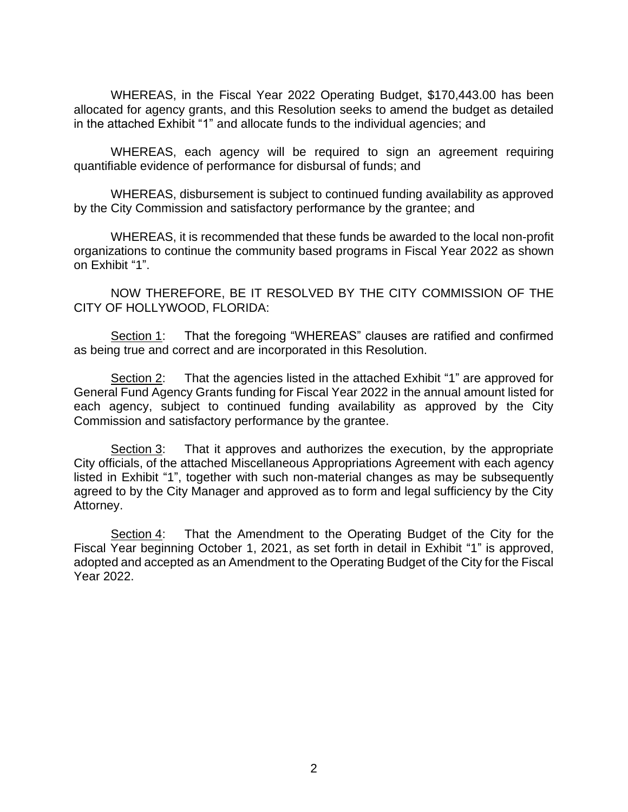WHEREAS, in the Fiscal Year 2022 Operating Budget, \$170,443.00 has been allocated for agency grants, and this Resolution seeks to amend the budget as detailed in the attached Exhibit "1" and allocate funds to the individual agencies; and

WHEREAS, each agency will be required to sign an agreement requiring quantifiable evidence of performance for disbursal of funds; and

WHEREAS, disbursement is subject to continued funding availability as approved by the City Commission and satisfactory performance by the grantee; and

WHEREAS, it is recommended that these funds be awarded to the local non-profit organizations to continue the community based programs in Fiscal Year 2022 as shown on Exhibit "1".

NOW THEREFORE, BE IT RESOLVED BY THE CITY COMMISSION OF THE CITY OF HOLLYWOOD, FLORIDA:

Section 1: That the foregoing "WHEREAS" clauses are ratified and confirmed as being true and correct and are incorporated in this Resolution.

Section 2: That the agencies listed in the attached Exhibit "1" are approved for General Fund Agency Grants funding for Fiscal Year 2022 in the annual amount listed for each agency, subject to continued funding availability as approved by the City Commission and satisfactory performance by the grantee.

Section 3: That it approves and authorizes the execution, by the appropriate City officials, of the attached Miscellaneous Appropriations Agreement with each agency listed in Exhibit "1", together with such non-material changes as may be subsequently agreed to by the City Manager and approved as to form and legal sufficiency by the City Attorney.

Section 4: That the Amendment to the Operating Budget of the City for the Fiscal Year beginning October 1, 2021, as set forth in detail in Exhibit "1" is approved, adopted and accepted as an Amendment to the Operating Budget of the City for the Fiscal Year 2022.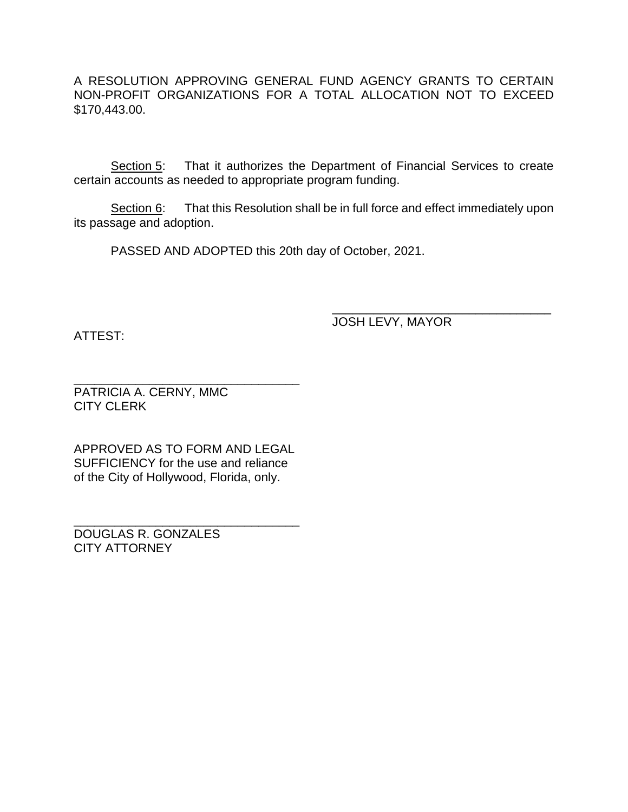A RESOLUTION APPROVING GENERAL FUND AGENCY GRANTS TO CERTAIN NON-PROFIT ORGANIZATIONS FOR A TOTAL ALLOCATION NOT TO EXCEED \$170,443.00.

Section 5: That it authorizes the Department of Financial Services to create certain accounts as needed to appropriate program funding.

Section 6: That this Resolution shall be in full force and effect immediately upon its passage and adoption.

PASSED AND ADOPTED this 20th day of October, 2021.

ATTEST:

JOSH LEVY, MAYOR

\_\_\_\_\_\_\_\_\_\_\_\_\_\_\_\_\_\_\_\_\_\_\_\_\_\_\_\_\_\_\_\_

\_\_\_\_\_\_\_\_\_\_\_\_\_\_\_\_\_\_\_\_\_\_\_\_\_\_\_\_\_\_\_\_\_ PATRICIA A. CERNY, MMC CITY CLERK

APPROVED AS TO FORM AND LEGAL SUFFICIENCY for the use and reliance of the City of Hollywood, Florida, only.

\_\_\_\_\_\_\_\_\_\_\_\_\_\_\_\_\_\_\_\_\_\_\_\_\_\_\_\_\_\_\_\_\_

DOUGLAS R. GONZALES CITY ATTORNEY